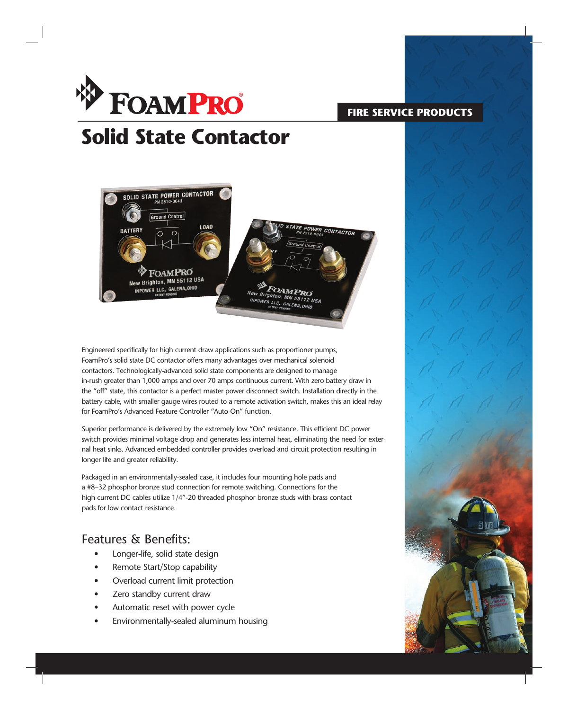

### **FIRE SERVICE PRODUCTS**

# **Solid State Contactor**



Engineered specifically for high current draw applications such as proportioner pumps, FoamPro's solid state DC contactor offers many advantages over mechanical solenoid contactors. Technologically-advanced solid state components are designed to manage in-rush greater than 1,000 amps and over 70 amps continuous current. With zero battery draw in the "off" state, this contactor is a perfect master power disconnect switch. Installation directly in the battery cable, with smaller gauge wires routed to a remote activation switch, makes this an ideal relay for FoamPro's Advanced Feature Controller "Auto-On" function.

Superior performance is delivered by the extremely low "On" resistance. This efficient DC power switch provides minimal voltage drop and generates less internal heat, eliminating the need for external heat sinks. Advanced embedded controller provides overload and circuit protection resulting in longer life and greater reliability.

Packaged in an environmentally-sealed case, it includes four mounting hole pads and a #8–32 phosphor bronze stud connection for remote switching. Connections for the high current DC cables utilize 1/4"-20 threaded phosphor bronze studs with brass contact pads for low contact resistance.

### Features & Benefits:

- Longer-life, solid state design
- Remote Start/Stop capability
- Overload current limit protection
- Zero standby current draw
- Automatic reset with power cycle
- Environmentally-sealed aluminum housing